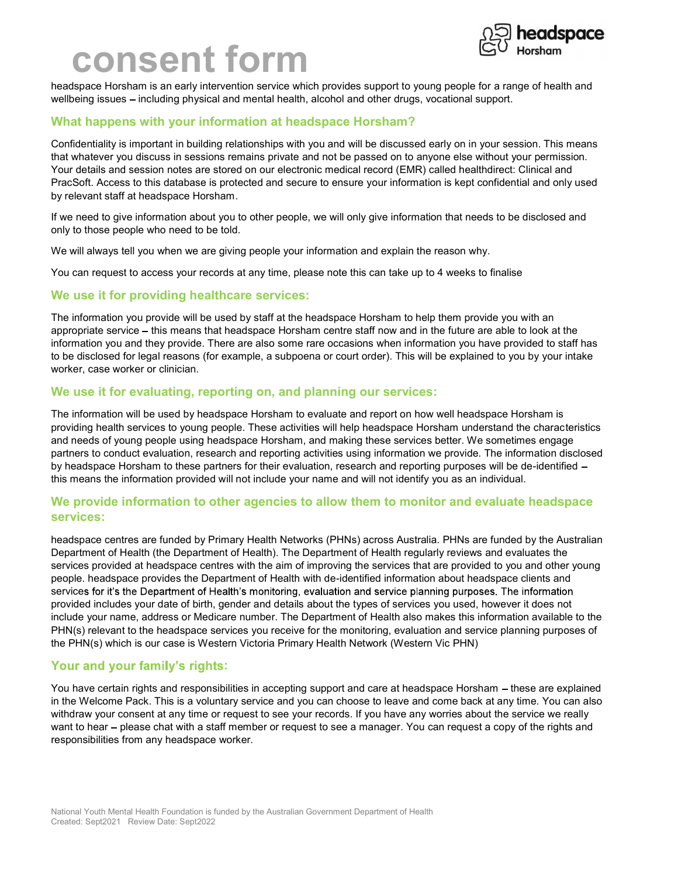## consent form



headspace Horsham is an early intervention service which provides support to young people for a range of health and wellbeing issues – including physical and mental health, alcohol and other drugs, vocational support.

## What happens with your information at headspace Horsham?

Confidentiality is important in building relationships with you and will be discussed early on in your session. This means that whatever you discuss in sessions remains private and not be passed on to anyone else without your permission. Your details and session notes are stored on our electronic medical record (EMR) called healthdirect: Clinical and PracSoft. Access to this database is protected and secure to ensure your information is kept confidential and only used by relevant staff at headspace Horsham.

If we need to give information about you to other people, we will only give information that needs to be disclosed and only to those people who need to be told.

We will always tell you when we are giving people your information and explain the reason why.

You can request to access your records at any time, please note this can take up to 4 weeks to finalise

#### We use it for providing healthcare services:

The information you provide will be used by staff at the headspace Horsham to help them provide you with an appropriate service – this means that headspace Horsham centre staff now and in the future are able to look at the information you and they provide. There are also some rare occasions when information you have provided to staff has to be disclosed for legal reasons (for example, a subpoena or court order). This will be explained to you by your intake worker, case worker or clinician.

#### We use it for evaluating, reporting on, and planning our services:

The information will be used by headspace Horsham to evaluate and report on how well headspace Horsham is providing health services to young people. These activities will help headspace Horsham understand the characteristics and needs of young people using headspace Horsham, and making these services better. We sometimes engage partners to conduct evaluation, research and reporting activities using information we provide. The information disclosed by headspace Horsham to these partners for their evaluation, research and reporting purposes will be de-identified this means the information provided will not include your name and will not identify you as an individual.

## We provide information to other agencies to allow them to monitor and evaluate headspace services:

headspace centres are funded by Primary Health Networks (PHNs) across Australia. PHNs are funded by the Australian Department of Health (the Department of Health). The Department of Health regularly reviews and evaluates the services provided at headspace centres with the aim of improving the services that are provided to you and other young people. headspace provides the Department of Health with de-identified information about headspace clients and services for it's the Department of Health's monitoring, evaluation and service planning purposes. The information provided includes your date of birth, gender and details about the types of services you used, however it does not include your name, address or Medicare number. The Department of Health also makes this information available to the PHN(s) relevant to the headspace services you receive for the monitoring, evaluation and service planning purposes of the PHN(s) which is our case is Western Victoria Primary Health Network (Western Vic PHN)

## Your and your family's rights:

You have certain rights and responsibilities in accepting support and care at headspace Horsham – these are explained in the Welcome Pack. This is a voluntary service and you can choose to leave and come back at any time. You can also withdraw your consent at any time or request to see your records. If you have any worries about the service we really want to hear – please chat with a staff member or request to see a manager. You can request a copy of the rights and responsibilities from any headspace worker.